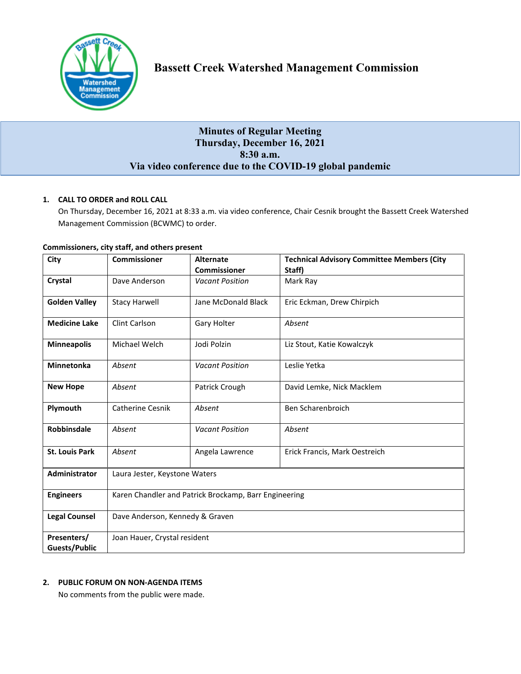

# **Minutes of Regular Meeting Thursday, December 16, 2021 8:30 a.m. Via video conference due to the COVID-19 global pandemic**

## **1. CALL TO ORDER and ROLL CALL**

On Thursday, December 16, 2021 at 8:33 a.m. via video conference, Chair Cesnik brought the Bassett Creek Watershed Management Commission (BCWMC) to order.

| City                         | <b>Commissioner</b>                                   | <b>Alternate</b><br><b>Commissioner</b> | <b>Technical Advisory Committee Members (City</b><br>Staff) |  |
|------------------------------|-------------------------------------------------------|-----------------------------------------|-------------------------------------------------------------|--|
|                              |                                                       |                                         |                                                             |  |
| Crystal                      | Dave Anderson                                         | <b>Vacant Position</b>                  | Mark Ray                                                    |  |
| <b>Golden Valley</b>         | <b>Stacy Harwell</b>                                  | Jane McDonald Black                     | Eric Eckman, Drew Chirpich                                  |  |
| <b>Medicine Lake</b>         | Clint Carlson                                         | Gary Holter                             | Absent                                                      |  |
| <b>Minneapolis</b>           | Michael Welch                                         | Jodi Polzin                             | Liz Stout, Katie Kowalczyk                                  |  |
| <b>Minnetonka</b>            | Absent                                                | <b>Vacant Position</b>                  | Leslie Yetka                                                |  |
| <b>New Hope</b>              | Absent                                                | Patrick Crough                          | David Lemke, Nick Macklem                                   |  |
| Plymouth                     | <b>Catherine Cesnik</b>                               | Absent                                  | Ben Scharenbroich                                           |  |
| Robbinsdale                  | Absent                                                | <b>Vacant Position</b>                  | Absent                                                      |  |
| <b>St. Louis Park</b>        | Absent                                                | Angela Lawrence                         | Erick Francis, Mark Oestreich                               |  |
| Administrator                | Laura Jester, Keystone Waters                         |                                         |                                                             |  |
| <b>Engineers</b>             | Karen Chandler and Patrick Brockamp, Barr Engineering |                                         |                                                             |  |
| <b>Legal Counsel</b>         | Dave Anderson, Kennedy & Graven                       |                                         |                                                             |  |
| Presenters/<br>Guests/Public | Joan Hauer, Crystal resident                          |                                         |                                                             |  |

#### **Commissioners, city staff, and others present**

## **2. PUBLIC FORUM ON NON-AGENDA ITEMS**

No comments from the public were made.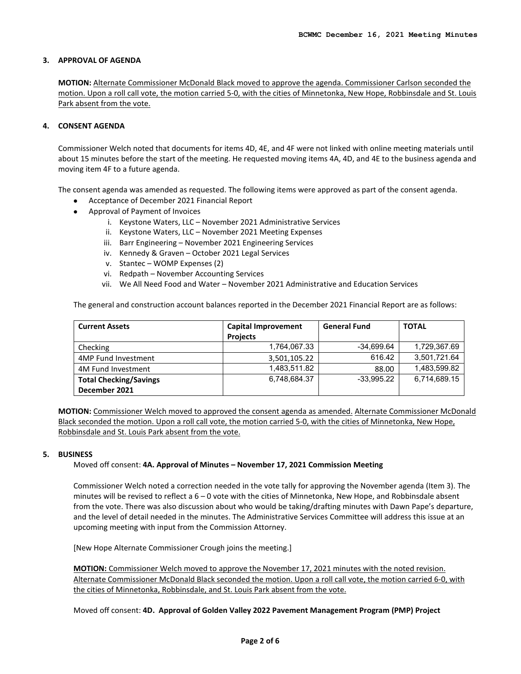#### **3. APPROVAL OF AGENDA**

**MOTION:** Alternate Commissioner McDonald Black moved to approve the agenda. Commissioner Carlson seconded the motion. Upon a roll call vote, the motion carried 5-0, with the cities of Minnetonka, New Hope, Robbinsdale and St. Louis Park absent from the vote.

#### **4. CONSENT AGENDA**

Commissioner Welch noted that documents for items 4D, 4E, and 4F were not linked with online meeting materials until about 15 minutes before the start of the meeting. He requested moving items 4A, 4D, and 4E to the business agenda and moving item 4F to a future agenda.

The consent agenda was amended as requested. The following items were approved as part of the consent agenda.

- Acceptance of December 2021 Financial Report
- Approval of Payment of Invoices
	- i. Keystone Waters, LLC November 2021 Administrative Services
	- ii. Keystone Waters, LLC November 2021 Meeting Expenses
	- iii. Barr Engineering November 2021 Engineering Services
	- iv. Kennedy & Graven October 2021 Legal Services
	- v. Stantec WOMP Expenses (2)
	- vi. Redpath November Accounting Services
	- vii. We All Need Food and Water November 2021 Administrative and Education Services

The general and construction account balances reported in the December 2021 Financial Report are as follows:

| <b>Current Assets</b>         | <b>Capital Improvement</b> | <b>General Fund</b> | <b>TOTAL</b> |
|-------------------------------|----------------------------|---------------------|--------------|
|                               | <b>Projects</b>            |                     |              |
| Checking                      | 1,764,067.33               | $-34.699.64$        | 1,729,367.69 |
| 4MP Fund Investment           | 3,501,105.22               | 616.42              | 3,501,721.64 |
| 4M Fund Investment            | 1,483,511.82               | 88.00               | 1,483,599.82 |
| <b>Total Checking/Savings</b> | 6,748,684.37               | $-33.995.22$        | 6,714,689.15 |
| December 2021                 |                            |                     |              |

**MOTION:** Commissioner Welch moved to approved the consent agenda as amended. Alternate Commissioner McDonald Black seconded the motion. Upon a roll call vote, the motion carried 5-0, with the cities of Minnetonka, New Hope, Robbinsdale and St. Louis Park absent from the vote.

#### **5. BUSINESS**

Moved off consent: **4A. Approval of Minutes – November 17, 2021 Commission Meeting**

Commissioner Welch noted a correction needed in the vote tally for approving the November agenda (Item 3). The minutes will be revised to reflect a 6 – 0 vote with the cities of Minnetonka, New Hope, and Robbinsdale absent from the vote. There was also discussion about who would be taking/drafting minutes with Dawn Pape's departure, and the level of detail needed in the minutes. The Administrative Services Committee will address this issue at an upcoming meeting with input from the Commission Attorney.

[New Hope Alternate Commissioner Crough joins the meeting.]

**MOTION:** Commissioner Welch moved to approve the November 17, 2021 minutes with the noted revision. Alternate Commissioner McDonald Black seconded the motion. Upon a roll call vote, the motion carried 6-0, with the cities of Minnetonka, Robbinsdale, and St. Louis Park absent from the vote.

Moved off consent: **4D. Approval of Golden Valley 2022 Pavement Management Program (PMP) Project**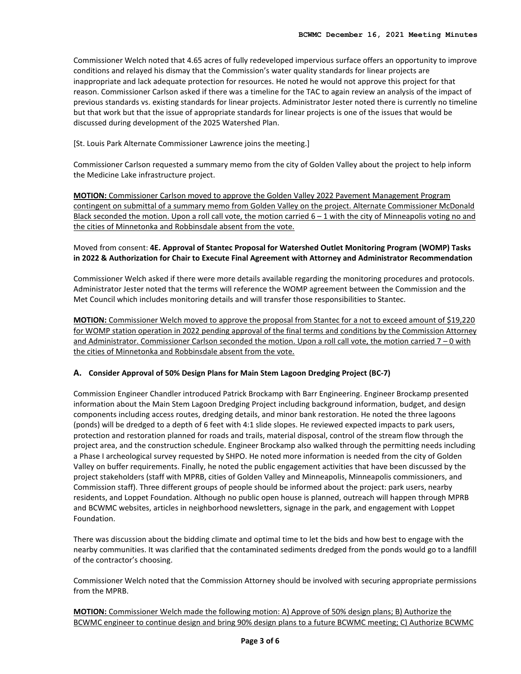Commissioner Welch noted that 4.65 acres of fully redeveloped impervious surface offers an opportunity to improve conditions and relayed his dismay that the Commission's water quality standards for linear projects are inappropriate and lack adequate protection for resources. He noted he would not approve this project for that reason. Commissioner Carlson asked if there was a timeline for the TAC to again review an analysis of the impact of previous standards vs. existing standards for linear projects. Administrator Jester noted there is currently no timeline but that work but that the issue of appropriate standards for linear projects is one of the issues that would be discussed during development of the 2025 Watershed Plan.

## [St. Louis Park Alternate Commissioner Lawrence joins the meeting.]

Commissioner Carlson requested a summary memo from the city of Golden Valley about the project to help inform the Medicine Lake infrastructure project.

**MOTION:** Commissioner Carlson moved to approve the Golden Valley 2022 Pavement Management Program contingent on submittal of a summary memo from Golden Valley on the project. Alternate Commissioner McDonald Black seconded the motion. Upon a roll call vote, the motion carried  $6 - 1$  with the city of Minneapolis voting no and the cities of Minnetonka and Robbinsdale absent from the vote.

## Moved from consent: **4E. Approval of Stantec Proposal for Watershed Outlet Monitoring Program (WOMP) Tasks in 2022 & Authorization for Chair to Execute Final Agreement with Attorney and Administrator Recommendation**

Commissioner Welch asked if there were more details available regarding the monitoring procedures and protocols. Administrator Jester noted that the terms will reference the WOMP agreement between the Commission and the Met Council which includes monitoring details and will transfer those responsibilities to Stantec.

**MOTION:** Commissioner Welch moved to approve the proposal from Stantec for a not to exceed amount of \$19,220 for WOMP station operation in 2022 pending approval of the final terms and conditions by the Commission Attorney and Administrator. Commissioner Carlson seconded the motion. Upon a roll call vote, the motion carried 7 – 0 with the cities of Minnetonka and Robbinsdale absent from the vote.

## **A. Consider Approval of 50% Design Plans for Main Stem Lagoon Dredging Project (BC-7)**

Commission Engineer Chandler introduced Patrick Brockamp with Barr Engineering. Engineer Brockamp presented information about the Main Stem Lagoon Dredging Project including background information, budget, and design components including access routes, dredging details, and minor bank restoration. He noted the three lagoons (ponds) will be dredged to a depth of 6 feet with 4:1 slide slopes. He reviewed expected impacts to park users, protection and restoration planned for roads and trails, material disposal, control of the stream flow through the project area, and the construction schedule. Engineer Brockamp also walked through the permitting needs including a Phase I archeological survey requested by SHPO. He noted more information is needed from the city of Golden Valley on buffer requirements. Finally, he noted the public engagement activities that have been discussed by the project stakeholders (staff with MPRB, cities of Golden Valley and Minneapolis, Minneapolis commissioners, and Commission staff). Three different groups of people should be informed about the project: park users, nearby residents, and Loppet Foundation. Although no public open house is planned, outreach will happen through MPRB and BCWMC websites, articles in neighborhood newsletters, signage in the park, and engagement with Loppet Foundation.

There was discussion about the bidding climate and optimal time to let the bids and how best to engage with the nearby communities. It was clarified that the contaminated sediments dredged from the ponds would go to a landfill of the contractor's choosing.

Commissioner Welch noted that the Commission Attorney should be involved with securing appropriate permissions from the MPRB.

**MOTION:** Commissioner Welch made the following motion: A) Approve of 50% design plans; B) Authorize the BCWMC engineer to continue design and bring 90% design plans to a future BCWMC meeting; C) Authorize BCWMC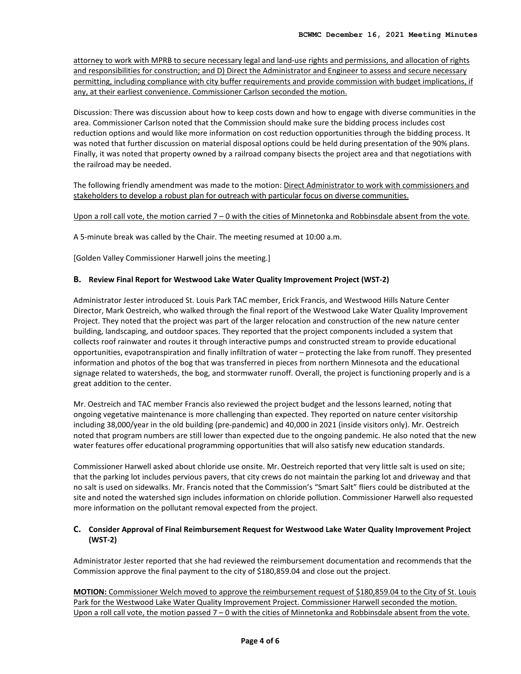attorney to work with MPRB to secure necessary legal and land-use rights and permissions, and allocation of rights and responsibilities for construction; and D) Direct the Administrator and Engineer to assess and secure necessary permitting, including compliance with city buffer requirements and provide commission with budget implications, if any, at their earliest convenience. Commissioner Carlson seconded the motion.

Discussion: There was discussion about how to keep costs down and how to engage with diverse communities in the area. Commissioner Carlson noted that the Commission should make sure the bidding process includes cost reduction options and would like more information on cost reduction opportunities through the bidding process. It was noted that further discussion on material disposal options could be held during presentation of the 90% plans. Finally, it was noted that property owned by a railroad company bisects the project area and that negotiations with the railroad may be needed.

The following friendly amendment was made to the motion: Direct Administrator to work with commissioners and stakeholders to develop a robust plan for outreach with particular focus on diverse communities.

## Upon a roll call vote, the motion carried 7 – 0 with the cities of Minnetonka and Robbinsdale absent from the vote.

A 5-minute break was called by the Chair. The meeting resumed at 10:00 a.m.

[Golden Valley Commissioner Harwell joins the meeting.]

#### **B. Review Final Report for Westwood Lake Water Quality Improvement Project (WST-2)**

Administrator Jester introduced St. Louis Park TAC member, Erick Francis, and Westwood Hills Nature Center Director, Mark Oestreich, who walked through the final report of the Westwood Lake Water Quality Improvement Project. They noted that the project was part of the larger relocation and construction of the new nature center building, landscaping, and outdoor spaces. They reported that the project components included a system that collects roof rainwater and routes it through interactive pumps and constructed stream to provide educational opportunities, evapotranspiration and finally infiltration of water – protecting the lake from runoff. They presented information and photos of the bog that was transferred in pieces from northern Minnesota and the educational signage related to watersheds, the bog, and stormwater runoff. Overall, the project is functioning properly and is a great addition to the center.

Mr. Oestreich and TAC member Francis also reviewed the project budget and the lessons learned, noting that ongoing vegetative maintenance is more challenging than expected. They reported on nature center visitorship including 38,000/year in the old building (pre-pandemic) and 40,000 in 2021 (inside visitors only). Mr. Oestreich noted that program numbers are still lower than expected due to the ongoing pandemic. He also noted that the new water features offer educational programming opportunities that will also satisfy new education standards.

Commissioner Harwell asked about chloride use onsite. Mr. Oestreich reported that very little salt is used on site; that the parking lot includes pervious pavers, that city crews do not maintain the parking lot and driveway and that no salt is used on sidewalks. Mr. Francis noted that the Commission's "Smart Salt" fliers could be distributed at the site and noted the watershed sign includes information on chloride pollution. Commissioner Harwell also requested more information on the pollutant removal expected from the project.

## **C. Consider Approval of Final Reimbursement Request for Westwood Lake Water Quality Improvement Project (WST-2)**

Administrator Jester reported that she had reviewed the reimbursement documentation and recommends that the Commission approve the final payment to the city of \$180,859.04 and close out the project.

**MOTION:** Commissioner Welch moved to approve the reimbursement request of \$180,859.04 to the City of St. Louis Park for the Westwood Lake Water Quality Improvement Project. Commissioner Harwell seconded the motion. Upon a roll call vote, the motion passed 7 – 0 with the cities of Minnetonka and Robbinsdale absent from the vote.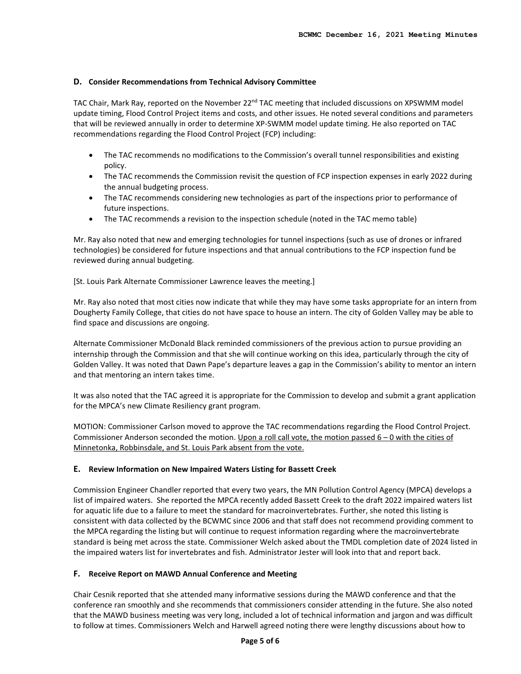#### **D. Consider Recommendations from Technical Advisory Committee**

TAC Chair, Mark Ray, reported on the November 22<sup>nd</sup> TAC meeting that included discussions on XPSWMM model update timing, Flood Control Project items and costs, and other issues. He noted several conditions and parameters that will be reviewed annually in order to determine XP-SWMM model update timing. He also reported on TAC recommendations regarding the Flood Control Project (FCP) including:

- The TAC recommends no modifications to the Commission's overall tunnel responsibilities and existing policy.
- The TAC recommends the Commission revisit the question of FCP inspection expenses in early 2022 during the annual budgeting process.
- The TAC recommends considering new technologies as part of the inspections prior to performance of future inspections.
- The TAC recommends a revision to the inspection schedule (noted in the TAC memo table)

Mr. Ray also noted that new and emerging technologies for tunnel inspections (such as use of drones or infrared technologies) be considered for future inspections and that annual contributions to the FCP inspection fund be reviewed during annual budgeting.

[St. Louis Park Alternate Commissioner Lawrence leaves the meeting.]

Mr. Ray also noted that most cities now indicate that while they may have some tasks appropriate for an intern from Dougherty Family College, that cities do not have space to house an intern. The city of Golden Valley may be able to find space and discussions are ongoing.

Alternate Commissioner McDonald Black reminded commissioners of the previous action to pursue providing an internship through the Commission and that she will continue working on this idea, particularly through the city of Golden Valley. It was noted that Dawn Pape's departure leaves a gap in the Commission's ability to mentor an intern and that mentoring an intern takes time.

It was also noted that the TAC agreed it is appropriate for the Commission to develop and submit a grant application for the MPCA's new Climate Resiliency grant program.

MOTION: Commissioner Carlson moved to approve the TAC recommendations regarding the Flood Control Project. Commissioner Anderson seconded the motion. Upon a roll call vote, the motion passed 6 – 0 with the cities of Minnetonka, Robbinsdale, and St. Louis Park absent from the vote.

## **E. Review Information on New Impaired Waters Listing for Bassett Creek**

Commission Engineer Chandler reported that every two years, the MN Pollution Control Agency (MPCA) develops a list of impaired waters. She reported the MPCA recently added Bassett Creek to the draft 2022 impaired waters list for aquatic life due to a failure to meet the standard for macroinvertebrates. Further, she noted this listing is consistent with data collected by the BCWMC since 2006 and that staff does not recommend providing comment to the MPCA regarding the listing but will continue to request information regarding where the macroinvertebrate standard is being met across the state. Commissioner Welch asked about the TMDL completion date of 2024 listed in the impaired waters list for invertebrates and fish. Administrator Jester will look into that and report back.

## **F. Receive Report on MAWD Annual Conference and Meeting**

Chair Cesnik reported that she attended many informative sessions during the MAWD conference and that the conference ran smoothly and she recommends that commissioners consider attending in the future. She also noted that the MAWD business meeting was very long, included a lot of technical information and jargon and was difficult to follow at times. Commissioners Welch and Harwell agreed noting there were lengthy discussions about how to